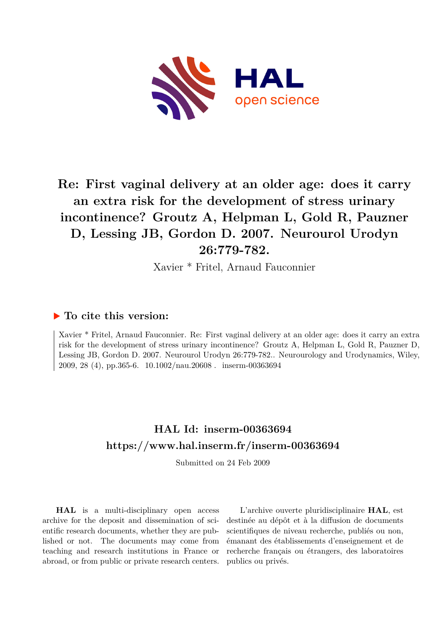

# **Re: First vaginal delivery at an older age: does it carry an extra risk for the development of stress urinary incontinence? Groutz A, Helpman L, Gold R, Pauzner D, Lessing JB, Gordon D. 2007. Neurourol Urodyn 26:779-782.**

Xavier \* Fritel, Arnaud Fauconnier

#### **To cite this version:**

Xavier \* Fritel, Arnaud Fauconnier. Re: First vaginal delivery at an older age: does it carry an extra risk for the development of stress urinary incontinence? Groutz A, Helpman L, Gold R, Pauzner D, Lessing JB, Gordon D. 2007. Neurourol Urodyn 26:779-782.. Neurourology and Urodynamics, Wiley, 2009, 28 (4), pp. 365-6.  $10.1002$ /nau. 20608. inserm-00363694

## **HAL Id: inserm-00363694 <https://www.hal.inserm.fr/inserm-00363694>**

Submitted on 24 Feb 2009

**HAL** is a multi-disciplinary open access archive for the deposit and dissemination of scientific research documents, whether they are published or not. The documents may come from teaching and research institutions in France or abroad, or from public or private research centers.

L'archive ouverte pluridisciplinaire **HAL**, est destinée au dépôt et à la diffusion de documents scientifiques de niveau recherche, publiés ou non, émanant des établissements d'enseignement et de recherche français ou étrangers, des laboratoires publics ou privés.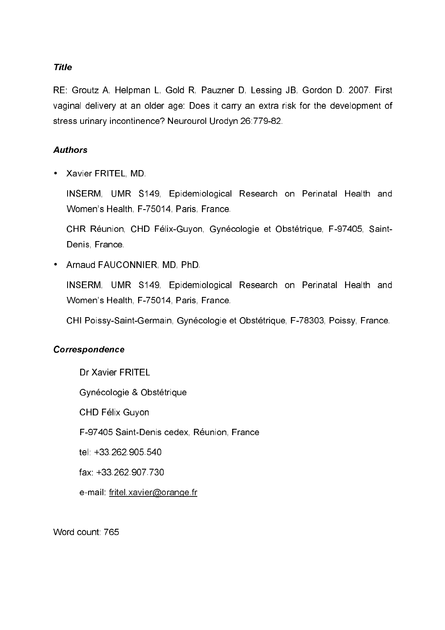## **Title**

RE: Groutz A, Helpman L, Gold R, Pauzner D, Lessing JB, Gordon D. 2007. First vaginal delivery at an older age: Does it carry an extra risk for the development of stress urinary incontinence? Neurourol Urodyn 26:779-82.

## **Authors**

• Xavier FRITEL, MD.

INSERM, UMR S149, Epidemiological Research on Perinatal Health and Women's Health, F-75014, Paris, France.

CHR Réunion, CHD Félix-Guyon, Gynécologie et Obstétrique, F-97405, Saint-Denis, France

• Arnaud FAUCONNIER, MD, PhD.

INSERM, UMR S149, Epidemiological Research on Perinatal Health and Women's Health, F-75014, Paris, France.

CHI Poissy-Saint-Germain, Gynécologie et Obstétrique, F-78303, Poissy, France.

#### Correspondence

Dr Xavier FRITEL Gynécologie & Obstétrique CHD Félix Guyon F-97405 Saint-Denis cedex, Réunion, France tel: +33,262,905,540 fax: +33,262,907,730 e-mail: fritel.xavier@orange.fr

Word count: 765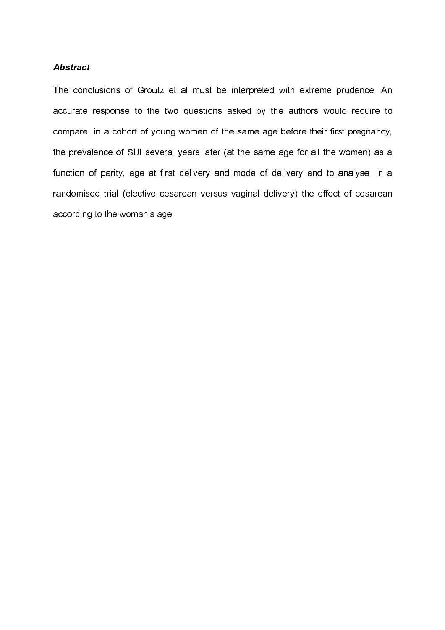#### **Abstract**

The conclusions of Groutz et al must be interpreted with extreme prudence. An accurate response to the two questions asked by the authors would require to compare, in a cohort of young women of the same age before their first pregnancy, the prevalence of SUI several years later (at the same age for all the women) as a function of parity, age at first delivery and mode of delivery and to analyse, in a randomised trial (elective cesarean versus vaginal delivery) the effect of cesarean according to the woman's age.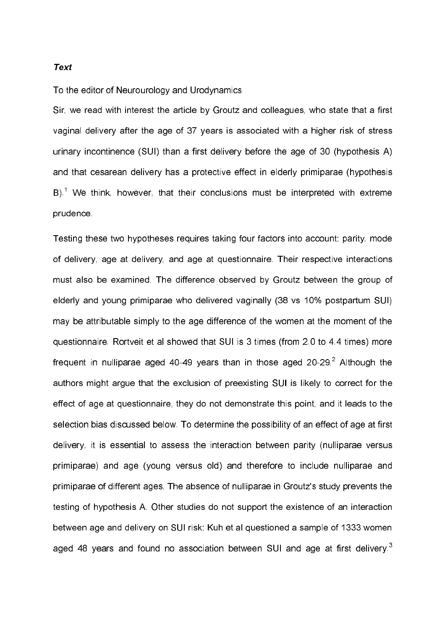#### **Text**

To the editor of Neurourology and Urodynamics

Sir, we read with interest the article by Groutz and colleagues, who state that a first vaginal delivery after the age of 37 years is associated with a higher risk of stress urinary incontinence (SUI) than a first delivery before the age of 30 (hypothesis A) and that cesarean delivery has a protective effect in elderly primiparae (hypothesis B).<sup>1</sup> We think, however, that their conclusions must be interpreted with extreme prudence.

Testing these two hypotheses requires taking four factors into account: parity, mode of delivery, age at delivery, and age at questionnaire. Their respective interactions must also be examined. The difference observed by Groutz between the group of elderly and young primiparae who delivered vaginally (38 vs 10% postpartum SUI) may be attributable simply to the age difference of the women at the moment of the questionnaire. Rortveit et al showed that SUI is 3 times (from 2.0 to 4.4 times) more frequent in nulliparae aged 40-49 years than in those aged 20-29.<sup>2</sup> Although the authors might argue that the exclusion of preexisting SUI is likely to correct for the effect of age at questionnaire, they do not demonstrate this point, and it leads to the selection bias discussed below. To determine the possibility of an effect of age at first delivery, it is essential to assess the interaction between parity (nulliparae versus primiparae) and age (young versus old) and therefore to include nulliparae and primiparae of different ages. The absence of nulliparae in Groutz's study prevents the testing of hypothesis A. Other studies do not support the existence of an interaction between age and delivery on SUI risk: Kuh et al questioned a sample of 1333 women aged 48 years and found no association between SUI and age at first delivery<sup>3</sup>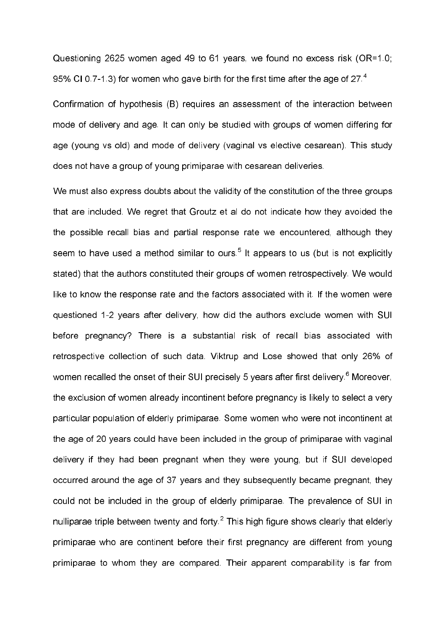Questioning 2625 women aged 49 to 61 years, we found no excess risk (OR=1.0; 95% CI 0.7-1.3) for women who gave birth for the first time after the age of 27.4

Confirmation of hypothesis (B) requires an assessment of the interaction between mode of delivery and age. It can only be studied with groups of women differing for age (young vs old) and mode of delivery (vaginal vs elective cesarean). This study does not have a group of young primiparae with cesarean deliveries.

We must also express doubts about the validity of the constitution of the three groups that are included. We regret that Groutz et al do not indicate how they avoided the the possible recall bias and partial response rate we encountered, although they seem to have used a method similar to ours.<sup>5</sup> It appears to us (but is not explicitly stated) that the authors constituted their groups of women retrospectively. We would like to know the response rate and the factors associated with it. If the women were questioned 1-2 years after delivery, how did the authors exclude women with SUI before pregnancy? There is a substantial risk of recall bias associated with retrospective collection of such data. Viktrup and Lose showed that only 26% of women recalled the onset of their SUI precisely 5 years after first delivery.<sup>6</sup> Moreover. the exclusion of women already incontinent before pregnancy is likely to select a very particular population of elderly primiparae. Some women who were not incontinent at the age of 20 years could have been included in the group of primiparae with vaginal delivery if they had been pregnant when they were young, but if SUI developed occurred around the age of 37 years and they subsequently became pregnant, they could not be included in the group of elderly primiparae. The prevalence of SUI in nulliparae triple between twenty and forty.<sup>2</sup> This high figure shows clearly that elderly primiparae who are continent before their first pregnancy are different from young primiparae to whom they are compared. Their apparent comparability is far from